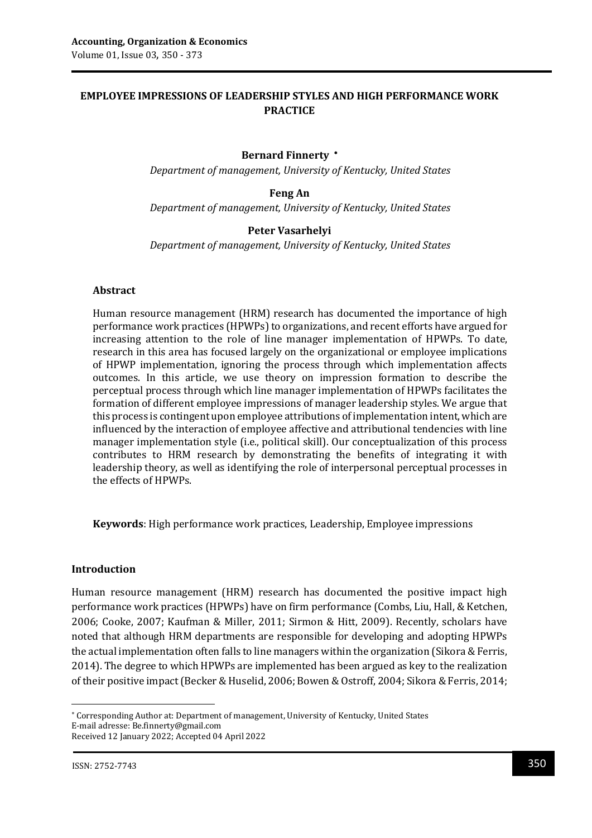# **EMPLOYEE IMPRESSIONS OF LEADERSHIP STYLES AND HIGH PERFORMANCE WORK PRACTICE**

# **Bernard Finnerty**

*Department of management, University of Kentucky, United States*

#### **Feng An**

*Department of management, University of Kentucky, United States*

#### **Peter Vasarhelyi**

*Department of management, University of Kentucky, United States*

#### **Abstract**

Human resource management (HRM) research has documented the importance of high performance work practices (HPWPs) to organizations, and recent efforts have argued for increasing attention to the role of line manager implementation of HPWPs. To date, research in this area has focused largely on the organizational or employee implications of HPWP implementation, ignoring the process through which implementation affects outcomes. In this article, we use theory on impression formation to describe the perceptual process through which line manager implementation of HPWPs facilitates the formation of different employee impressions of manager leadership styles. We argue that this process is contingent upon employee attributions of implementation intent, which are influenced by the interaction of employee affective and attributional tendencies with line manager implementation style (i.e., political skill). Our conceptualization of this process contributes to HRM research by demonstrating the benefits of integrating it with leadership theory, as well as identifying the role of interpersonal perceptual processes in the effects of HPWPs.

**Keywords**: High performance work practices, Leadership, Employee impressions

#### **Introduction**

Human resource management (HRM) research has documented the positive impact high performance work practices (HPWPs) have on firm performance (Combs, Liu, Hall, & Ketchen, 2006; Cooke, 2007; Kaufman & Miller, 2011; Sirmon & Hitt, 2009). Recently, scholars have noted that although HRM departments are responsible for developing and adopting HPWPs the actual implementation often falls to line managers within the organization (Sikora & Ferris, 2014). The degree to which HPWPs are implemented has been argued as key to the realization of their positive impact (Becker & Huselid, 2006; Bowen & Ostroff, 2004; Sikora & Ferris, 2014;

1

Corresponding Author at: Department of management, University of Kentucky, United States E-mail adresse: Be.finnerty@gmail.com Received 12 January 2022; Accepted 04 April 2022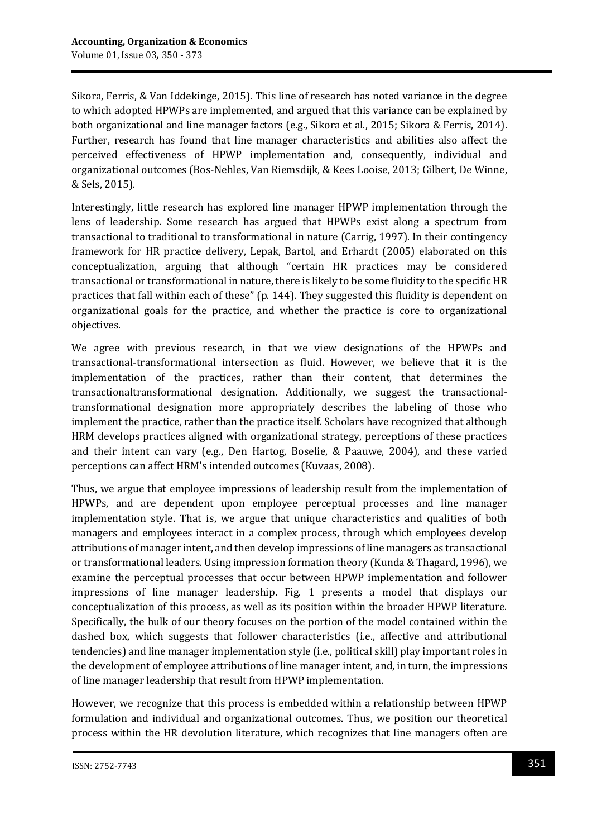Sikora, Ferris, & Van Iddekinge, 2015). This line of research has noted variance in the degree to which adopted HPWPs are implemented, and argued that this variance can be explained by both organizational and line manager factors (e.g., Sikora et al., 2015; Sikora & Ferris, 2014). Further, research has found that line manager characteristics and abilities also affect the perceived effectiveness of HPWP implementation and, consequently, individual and organizational outcomes (Bos-Nehles, Van Riemsdijk, & Kees Looise, 2013; Gilbert, De Winne, & Sels, 2015).

Interestingly, little research has explored line manager HPWP implementation through the lens of leadership. Some research has argued that HPWPs exist along a spectrum from transactional to traditional to transformational in nature (Carrig, 1997). In their contingency framework for HR practice delivery, Lepak, Bartol, and Erhardt (2005) elaborated on this conceptualization, arguing that although "certain HR practices may be considered transactional or transformational in nature, there is likely to be some fluidity to the specific HR practices that fall within each of these" (p. 144). They suggested this fluidity is dependent on organizational goals for the practice, and whether the practice is core to organizational objectives.

We agree with previous research, in that we view designations of the HPWPs and transactional-transformational intersection as fluid. However, we believe that it is the implementation of the practices, rather than their content, that determines the transactionaltransformational designation. Additionally, we suggest the transactionaltransformational designation more appropriately describes the labeling of those who implement the practice, rather than the practice itself. Scholars have recognized that although HRM develops practices aligned with organizational strategy, perceptions of these practices and their intent can vary (e.g., Den Hartog, Boselie, & Paauwe, 2004), and these varied perceptions can affect HRM's intended outcomes (Kuvaas, 2008).

Thus, we argue that employee impressions of leadership result from the implementation of HPWPs, and are dependent upon employee perceptual processes and line manager implementation style. That is, we argue that unique characteristics and qualities of both managers and employees interact in a complex process, through which employees develop attributions of manager intent, and then develop impressions of line managers as transactional or transformational leaders. Using impression formation theory (Kunda & Thagard, 1996), we examine the perceptual processes that occur between HPWP implementation and follower impressions of line manager leadership. Fig. 1 presents a model that displays our conceptualization of this process, as well as its position within the broader HPWP literature. Specifically, the bulk of our theory focuses on the portion of the model contained within the dashed box, which suggests that follower characteristics (i.e., affective and attributional tendencies) and line manager implementation style (i.e., political skill) play important roles in the development of employee attributions of line manager intent, and, in turn, the impressions of line manager leadership that result from HPWP implementation.

However, we recognize that this process is embedded within a relationship between HPWP formulation and individual and organizational outcomes. Thus, we position our theoretical process within the HR devolution literature, which recognizes that line managers often are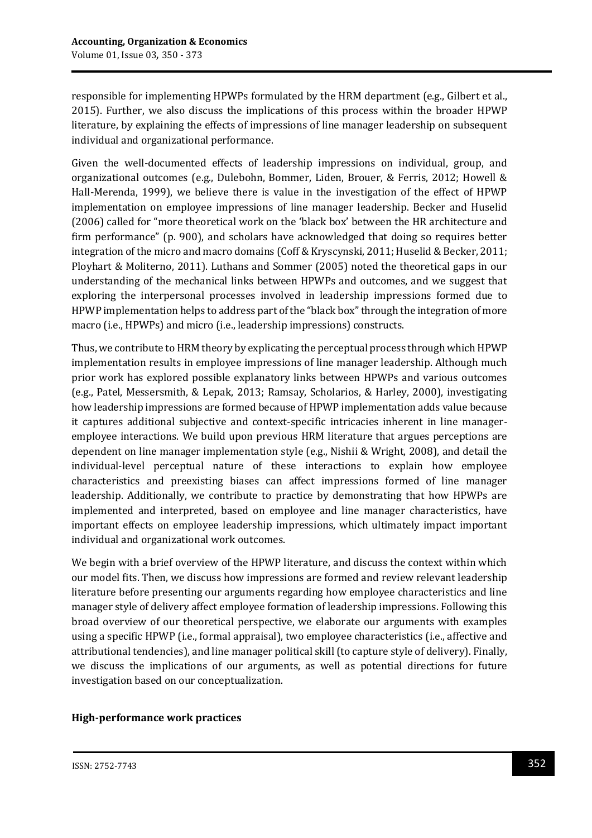responsible for implementing HPWPs formulated by the HRM department (e.g., Gilbert et al., 2015). Further, we also discuss the implications of this process within the broader HPWP literature, by explaining the effects of impressions of line manager leadership on subsequent individual and organizational performance.

Given the well-documented effects of leadership impressions on individual, group, and organizational outcomes (e.g., Dulebohn, Bommer, Liden, Brouer, & Ferris, 2012; Howell & Hall-Merenda, 1999), we believe there is value in the investigation of the effect of HPWP implementation on employee impressions of line manager leadership. Becker and Huselid (2006) called for "more theoretical work on the 'black box' between the HR architecture and firm performance" (p. 900), and scholars have acknowledged that doing so requires better integration of the micro and macro domains (Coff & Kryscynski, 2011; Huselid & Becker, 2011; Ployhart & Moliterno, 2011). Luthans and Sommer (2005) noted the theoretical gaps in our understanding of the mechanical links between HPWPs and outcomes, and we suggest that exploring the interpersonal processes involved in leadership impressions formed due to HPWP implementation helps to address part of the "black box" through the integration of more macro (i.e., HPWPs) and micro (i.e., leadership impressions) constructs.

Thus, we contribute to HRM theory by explicating the perceptual process through which HPWP implementation results in employee impressions of line manager leadership. Although much prior work has explored possible explanatory links between HPWPs and various outcomes (e.g., Patel, Messersmith, & Lepak, 2013; Ramsay, Scholarios, & Harley, 2000), investigating how leadership impressions are formed because of HPWP implementation adds value because it captures additional subjective and context-specific intricacies inherent in line manageremployee interactions. We build upon previous HRM literature that argues perceptions are dependent on line manager implementation style (e.g., Nishii & Wright, 2008), and detail the individual-level perceptual nature of these interactions to explain how employee characteristics and preexisting biases can affect impressions formed of line manager leadership. Additionally, we contribute to practice by demonstrating that how HPWPs are implemented and interpreted, based on employee and line manager characteristics, have important effects on employee leadership impressions, which ultimately impact important individual and organizational work outcomes.

We begin with a brief overview of the HPWP literature, and discuss the context within which our model fits. Then, we discuss how impressions are formed and review relevant leadership literature before presenting our arguments regarding how employee characteristics and line manager style of delivery affect employee formation of leadership impressions. Following this broad overview of our theoretical perspective, we elaborate our arguments with examples using a specific HPWP (i.e., formal appraisal), two employee characteristics (i.e., affective and attributional tendencies), and line manager political skill (to capture style of delivery). Finally, we discuss the implications of our arguments, as well as potential directions for future investigation based on our conceptualization.

#### **High-performance work practices**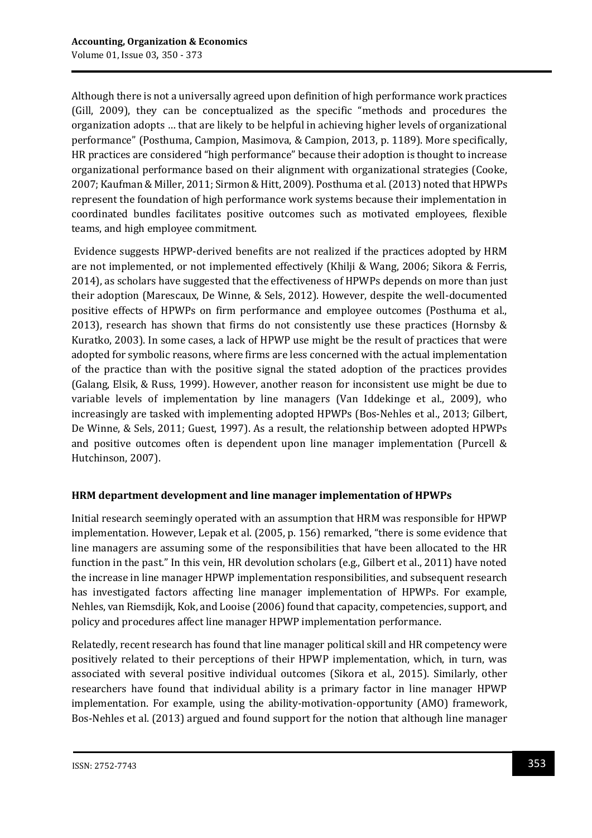Although there is not a universally agreed upon definition of high performance work practices (Gill, 2009), they can be conceptualized as the specific "methods and procedures the organization adopts … that are likely to be helpful in achieving higher levels of organizational performance" (Posthuma, Campion, Masimova, & Campion, 2013, p. 1189). More specifically, HR practices are considered "high performance" because their adoption is thought to increase organizational performance based on their alignment with organizational strategies (Cooke, 2007; Kaufman & Miller, 2011; Sirmon & Hitt, 2009). Posthuma et al. (2013) noted that HPWPs represent the foundation of high performance work systems because their implementation in coordinated bundles facilitates positive outcomes such as motivated employees, flexible teams, and high employee commitment.

Evidence suggests HPWP-derived benefits are not realized if the practices adopted by HRM are not implemented, or not implemented effectively (Khilji & Wang, 2006; Sikora & Ferris, 2014), as scholars have suggested that the effectiveness of HPWPs depends on more than just their adoption (Marescaux, De Winne, & Sels, 2012). However, despite the well-documented positive effects of HPWPs on firm performance and employee outcomes (Posthuma et al., 2013), research has shown that firms do not consistently use these practices (Hornsby & Kuratko, 2003). In some cases, a lack of HPWP use might be the result of practices that were adopted for symbolic reasons, where firms are less concerned with the actual implementation of the practice than with the positive signal the stated adoption of the practices provides (Galang, Elsik, & Russ, 1999). However, another reason for inconsistent use might be due to variable levels of implementation by line managers (Van Iddekinge et al., 2009), who increasingly are tasked with implementing adopted HPWPs (Bos-Nehles et al., 2013; Gilbert, De Winne, & Sels, 2011; Guest, 1997). As a result, the relationship between adopted HPWPs and positive outcomes often is dependent upon line manager implementation (Purcell & Hutchinson, 2007).

# **HRM department development and line manager implementation of HPWPs**

Initial research seemingly operated with an assumption that HRM was responsible for HPWP implementation. However, Lepak et al. (2005, p. 156) remarked, "there is some evidence that line managers are assuming some of the responsibilities that have been allocated to the HR function in the past." In this vein, HR devolution scholars (e.g., Gilbert et al., 2011) have noted the increase in line manager HPWP implementation responsibilities, and subsequent research has investigated factors affecting line manager implementation of HPWPs. For example, Nehles, van Riemsdijk, Kok, and Looise (2006) found that capacity, competencies, support, and policy and procedures affect line manager HPWP implementation performance.

Relatedly, recent research has found that line manager political skill and HR competency were positively related to their perceptions of their HPWP implementation, which, in turn, was associated with several positive individual outcomes (Sikora et al., 2015). Similarly, other researchers have found that individual ability is a primary factor in line manager HPWP implementation. For example, using the ability-motivation-opportunity (AMO) framework, Bos-Nehles et al. (2013) argued and found support for the notion that although line manager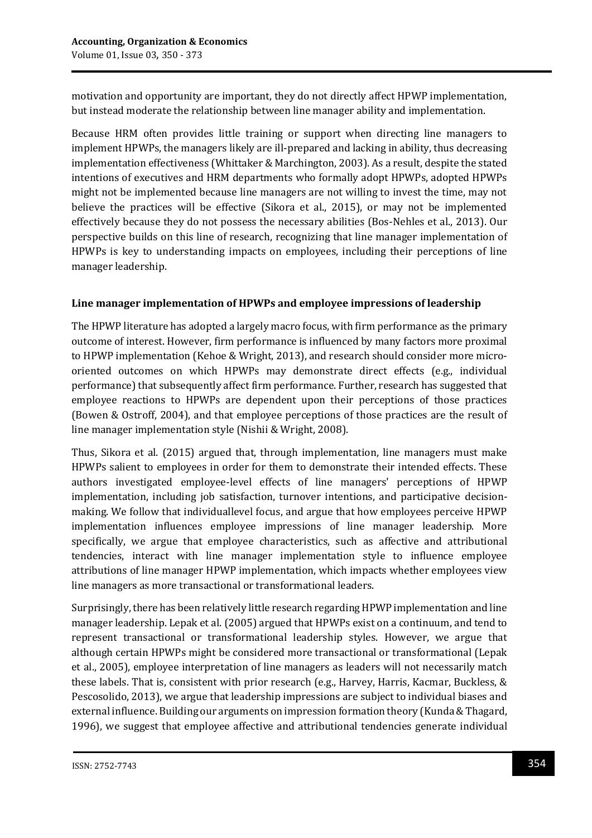motivation and opportunity are important, they do not directly affect HPWP implementation, but instead moderate the relationship between line manager ability and implementation.

Because HRM often provides little training or support when directing line managers to implement HPWPs, the managers likely are ill-prepared and lacking in ability, thus decreasing implementation effectiveness (Whittaker & Marchington, 2003). As a result, despite the stated intentions of executives and HRM departments who formally adopt HPWPs, adopted HPWPs might not be implemented because line managers are not willing to invest the time, may not believe the practices will be effective (Sikora et al., 2015), or may not be implemented effectively because they do not possess the necessary abilities (Bos-Nehles et al., 2013). Our perspective builds on this line of research, recognizing that line manager implementation of HPWPs is key to understanding impacts on employees, including their perceptions of line manager leadership.

# **Line manager implementation of HPWPs and employee impressions of leadership**

The HPWP literature has adopted a largely macro focus, with firm performance as the primary outcome of interest. However, firm performance is influenced by many factors more proximal to HPWP implementation (Kehoe & Wright, 2013), and research should consider more microoriented outcomes on which HPWPs may demonstrate direct effects (e.g., individual performance) that subsequently affect firm performance. Further, research has suggested that employee reactions to HPWPs are dependent upon their perceptions of those practices (Bowen & Ostroff, 2004), and that employee perceptions of those practices are the result of line manager implementation style (Nishii & Wright, 2008).

Thus, Sikora et al. (2015) argued that, through implementation, line managers must make HPWPs salient to employees in order for them to demonstrate their intended effects. These authors investigated employee-level effects of line managers' perceptions of HPWP implementation, including job satisfaction, turnover intentions, and participative decisionmaking. We follow that individuallevel focus, and argue that how employees perceive HPWP implementation influences employee impressions of line manager leadership. More specifically, we argue that employee characteristics, such as affective and attributional tendencies, interact with line manager implementation style to influence employee attributions of line manager HPWP implementation, which impacts whether employees view line managers as more transactional or transformational leaders.

Surprisingly, there has been relatively little research regarding HPWP implementation and line manager leadership. Lepak et al. (2005) argued that HPWPs exist on a continuum, and tend to represent transactional or transformational leadership styles. However, we argue that although certain HPWPs might be considered more transactional or transformational (Lepak et al., 2005), employee interpretation of line managers as leaders will not necessarily match these labels. That is, consistent with prior research (e.g., Harvey, Harris, Kacmar, Buckless, & Pescosolido, 2013), we argue that leadership impressions are subject to individual biases and external influence. Building our arguments on impression formation theory (Kunda & Thagard, 1996), we suggest that employee affective and attributional tendencies generate individual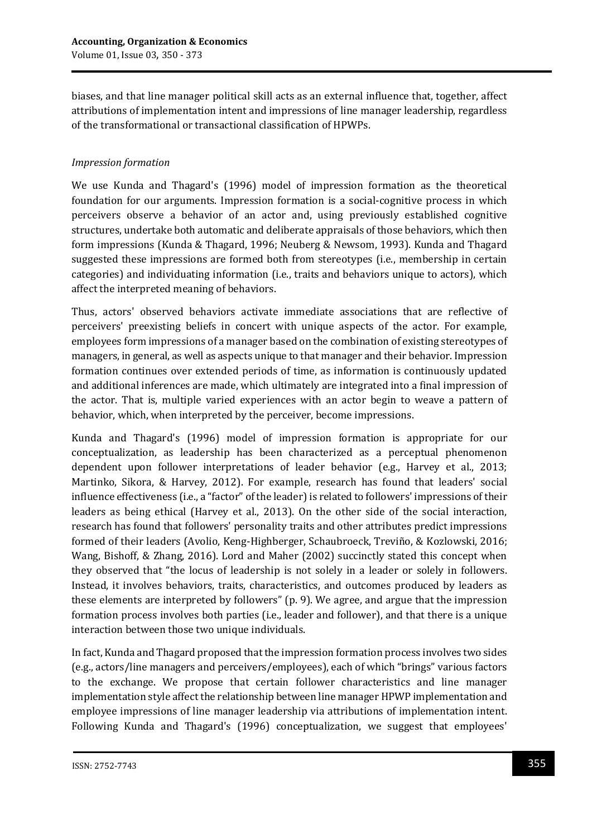biases, and that line manager political skill acts as an external influence that, together, affect attributions of implementation intent and impressions of line manager leadership, regardless of the transformational or transactional classification of HPWPs.

# *Impression formation*

We use Kunda and Thagard's (1996) model of impression formation as the theoretical foundation for our arguments. Impression formation is a social-cognitive process in which perceivers observe a behavior of an actor and, using previously established cognitive structures, undertake both automatic and deliberate appraisals of those behaviors, which then form impressions (Kunda & Thagard, 1996; Neuberg & Newsom, 1993). Kunda and Thagard suggested these impressions are formed both from stereotypes (i.e., membership in certain categories) and individuating information (i.e., traits and behaviors unique to actors), which affect the interpreted meaning of behaviors.

Thus, actors' observed behaviors activate immediate associations that are reflective of perceivers' preexisting beliefs in concert with unique aspects of the actor. For example, employees form impressions of a manager based on the combination of existing stereotypes of managers, in general, as well as aspects unique to that manager and their behavior. Impression formation continues over extended periods of time, as information is continuously updated and additional inferences are made, which ultimately are integrated into a final impression of the actor. That is, multiple varied experiences with an actor begin to weave a pattern of behavior, which, when interpreted by the perceiver, become impressions.

Kunda and Thagard's (1996) model of impression formation is appropriate for our conceptualization, as leadership has been characterized as a perceptual phenomenon dependent upon follower interpretations of leader behavior (e.g., Harvey et al., 2013; Martinko, Sikora, & Harvey, 2012). For example, research has found that leaders' social influence effectiveness (i.e., a "factor" of the leader) is related to followers' impressions of their leaders as being ethical (Harvey et al., 2013). On the other side of the social interaction, research has found that followers' personality traits and other attributes predict impressions formed of their leaders (Avolio, Keng-Highberger, Schaubroeck, Treviño, & Kozlowski, 2016; Wang, Bishoff, & Zhang, 2016). Lord and Maher (2002) succinctly stated this concept when they observed that "the locus of leadership is not solely in a leader or solely in followers. Instead, it involves behaviors, traits, characteristics, and outcomes produced by leaders as these elements are interpreted by followers" (p. 9). We agree, and argue that the impression formation process involves both parties (i.e., leader and follower), and that there is a unique interaction between those two unique individuals.

In fact, Kunda and Thagard proposed that the impression formation process involves two sides (e.g., actors/line managers and perceivers/employees), each of which "brings" various factors to the exchange. We propose that certain follower characteristics and line manager implementation style affect the relationship between line manager HPWP implementation and employee impressions of line manager leadership via attributions of implementation intent. Following Kunda and Thagard's (1996) conceptualization, we suggest that employees'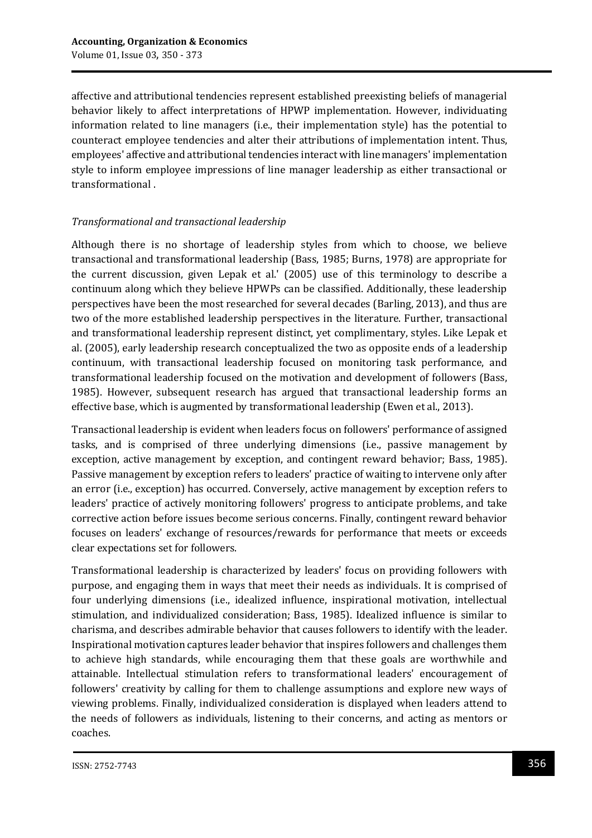affective and attributional tendencies represent established preexisting beliefs of managerial behavior likely to affect interpretations of HPWP implementation. However, individuating information related to line managers (i.e., their implementation style) has the potential to counteract employee tendencies and alter their attributions of implementation intent. Thus, employees' affective and attributional tendencies interact with line managers' implementation style to inform employee impressions of line manager leadership as either transactional or transformational .

# *Transformational and transactional leadership*

Although there is no shortage of leadership styles from which to choose, we believe transactional and transformational leadership (Bass, 1985; Burns, 1978) are appropriate for the current discussion, given Lepak et al.' (2005) use of this terminology to describe a continuum along which they believe HPWPs can be classified. Additionally, these leadership perspectives have been the most researched for several decades (Barling, 2013), and thus are two of the more established leadership perspectives in the literature. Further, transactional and transformational leadership represent distinct, yet complimentary, styles. Like Lepak et al. (2005), early leadership research conceptualized the two as opposite ends of a leadership continuum, with transactional leadership focused on monitoring task performance, and transformational leadership focused on the motivation and development of followers (Bass, 1985). However, subsequent research has argued that transactional leadership forms an effective base, which is augmented by transformational leadership (Ewen et al., 2013).

Transactional leadership is evident when leaders focus on followers' performance of assigned tasks, and is comprised of three underlying dimensions (i.e., passive management by exception, active management by exception, and contingent reward behavior; Bass, 1985). Passive management by exception refers to leaders' practice of waiting to intervene only after an error (i.e., exception) has occurred. Conversely, active management by exception refers to leaders' practice of actively monitoring followers' progress to anticipate problems, and take corrective action before issues become serious concerns. Finally, contingent reward behavior focuses on leaders' exchange of resources/rewards for performance that meets or exceeds clear expectations set for followers.

Transformational leadership is characterized by leaders' focus on providing followers with purpose, and engaging them in ways that meet their needs as individuals. It is comprised of four underlying dimensions (i.e., idealized influence, inspirational motivation, intellectual stimulation, and individualized consideration; Bass, 1985). Idealized influence is similar to charisma, and describes admirable behavior that causes followers to identify with the leader. Inspirational motivation captures leader behavior that inspires followers and challenges them to achieve high standards, while encouraging them that these goals are worthwhile and attainable. Intellectual stimulation refers to transformational leaders' encouragement of followers' creativity by calling for them to challenge assumptions and explore new ways of viewing problems. Finally, individualized consideration is displayed when leaders attend to the needs of followers as individuals, listening to their concerns, and acting as mentors or coaches.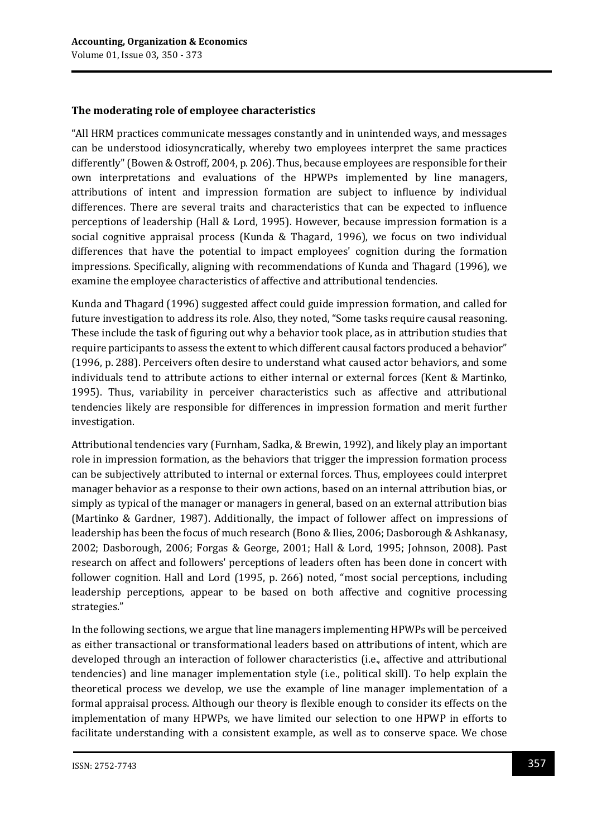#### **The moderating role of employee characteristics**

"All HRM practices communicate messages constantly and in unintended ways, and messages can be understood idiosyncratically, whereby two employees interpret the same practices differently" (Bowen & Ostroff, 2004, p. 206). Thus, because employees are responsible for their own interpretations and evaluations of the HPWPs implemented by line managers, attributions of intent and impression formation are subject to influence by individual differences. There are several traits and characteristics that can be expected to influence perceptions of leadership (Hall & Lord, 1995). However, because impression formation is a social cognitive appraisal process (Kunda & Thagard, 1996), we focus on two individual differences that have the potential to impact employees' cognition during the formation impressions. Specifically, aligning with recommendations of Kunda and Thagard (1996), we examine the employee characteristics of affective and attributional tendencies.

Kunda and Thagard (1996) suggested affect could guide impression formation, and called for future investigation to address its role. Also, they noted, "Some tasks require causal reasoning. These include the task of figuring out why a behavior took place, as in attribution studies that require participants to assess the extent to which different causal factors produced a behavior" (1996, p. 288). Perceivers often desire to understand what caused actor behaviors, and some individuals tend to attribute actions to either internal or external forces (Kent & Martinko, 1995). Thus, variability in perceiver characteristics such as affective and attributional tendencies likely are responsible for differences in impression formation and merit further investigation.

Attributional tendencies vary (Furnham, Sadka, & Brewin, 1992), and likely play an important role in impression formation, as the behaviors that trigger the impression formation process can be subjectively attributed to internal or external forces. Thus, employees could interpret manager behavior as a response to their own actions, based on an internal attribution bias, or simply as typical of the manager or managers in general, based on an external attribution bias (Martinko & Gardner, 1987). Additionally, the impact of follower affect on impressions of leadership has been the focus of much research (Bono & Ilies, 2006; Dasborough & Ashkanasy, 2002; Dasborough, 2006; Forgas & George, 2001; Hall & Lord, 1995; Johnson, 2008). Past research on affect and followers' perceptions of leaders often has been done in concert with follower cognition. Hall and Lord (1995, p. 266) noted, "most social perceptions, including leadership perceptions, appear to be based on both affective and cognitive processing strategies."

In the following sections, we argue that line managers implementing HPWPs will be perceived as either transactional or transformational leaders based on attributions of intent, which are developed through an interaction of follower characteristics (i.e., affective and attributional tendencies) and line manager implementation style (i.e., political skill). To help explain the theoretical process we develop, we use the example of line manager implementation of a formal appraisal process. Although our theory is flexible enough to consider its effects on the implementation of many HPWPs, we have limited our selection to one HPWP in efforts to facilitate understanding with a consistent example, as well as to conserve space. We chose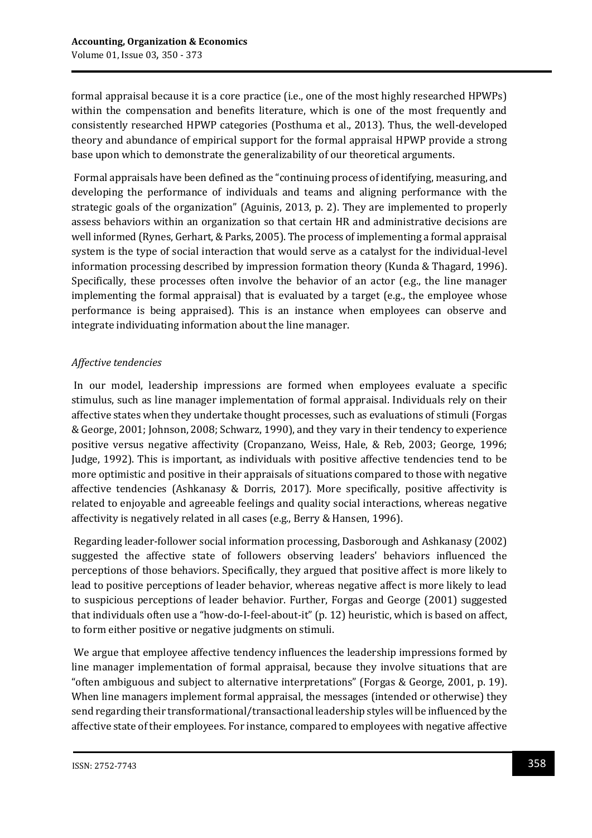formal appraisal because it is a core practice (i.e., one of the most highly researched HPWPs) within the compensation and benefits literature, which is one of the most frequently and consistently researched HPWP categories (Posthuma et al., 2013). Thus, the well-developed theory and abundance of empirical support for the formal appraisal HPWP provide a strong base upon which to demonstrate the generalizability of our theoretical arguments.

Formal appraisals have been defined as the "continuing process of identifying, measuring, and developing the performance of individuals and teams and aligning performance with the strategic goals of the organization" (Aguinis, 2013, p. 2). They are implemented to properly assess behaviors within an organization so that certain HR and administrative decisions are well informed (Rynes, Gerhart, & Parks, 2005). The process of implementing a formal appraisal system is the type of social interaction that would serve as a catalyst for the individual-level information processing described by impression formation theory (Kunda & Thagard, 1996). Specifically, these processes often involve the behavior of an actor (e.g., the line manager implementing the formal appraisal) that is evaluated by a target (e.g., the employee whose performance is being appraised). This is an instance when employees can observe and integrate individuating information about the line manager.

# *Affective tendencies*

In our model, leadership impressions are formed when employees evaluate a specific stimulus, such as line manager implementation of formal appraisal. Individuals rely on their affective states when they undertake thought processes, such as evaluations of stimuli (Forgas & George, 2001; Johnson, 2008; Schwarz, 1990), and they vary in their tendency to experience positive versus negative affectivity (Cropanzano, Weiss, Hale, & Reb, 2003; George, 1996; Judge, 1992). This is important, as individuals with positive affective tendencies tend to be more optimistic and positive in their appraisals of situations compared to those with negative affective tendencies (Ashkanasy & Dorris, 2017). More specifically, positive affectivity is related to enjoyable and agreeable feelings and quality social interactions, whereas negative affectivity is negatively related in all cases (e.g., Berry & Hansen, 1996).

Regarding leader-follower social information processing, Dasborough and Ashkanasy (2002) suggested the affective state of followers observing leaders' behaviors influenced the perceptions of those behaviors. Specifically, they argued that positive affect is more likely to lead to positive perceptions of leader behavior, whereas negative affect is more likely to lead to suspicious perceptions of leader behavior. Further, Forgas and George (2001) suggested that individuals often use a "how-do-I-feel-about-it" (p. 12) heuristic, which is based on affect, to form either positive or negative judgments on stimuli.

We argue that employee affective tendency influences the leadership impressions formed by line manager implementation of formal appraisal, because they involve situations that are "often ambiguous and subject to alternative interpretations" (Forgas & George, 2001, p. 19). When line managers implement formal appraisal, the messages (intended or otherwise) they send regarding their transformational/transactional leadership styles will be influenced by the affective state of their employees. For instance, compared to employees with negative affective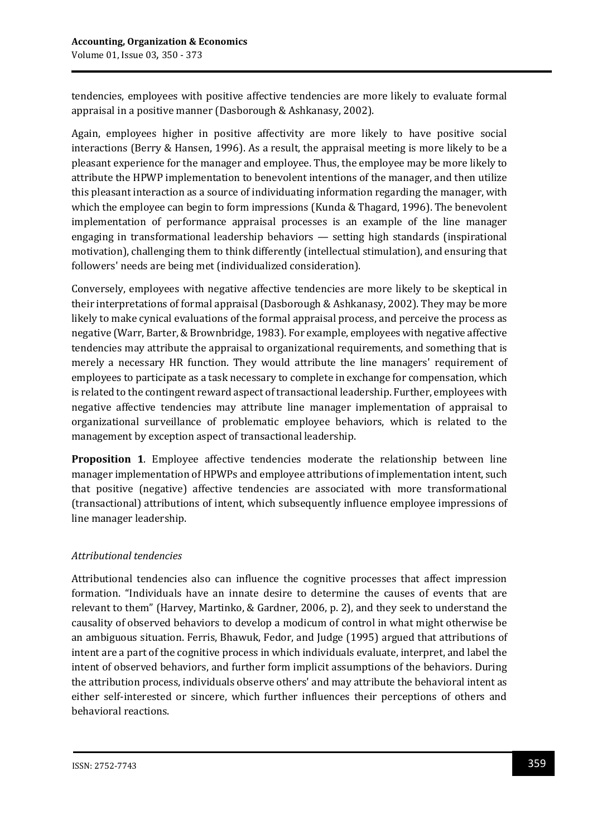tendencies, employees with positive affective tendencies are more likely to evaluate formal appraisal in a positive manner (Dasborough & Ashkanasy, 2002).

Again, employees higher in positive affectivity are more likely to have positive social interactions (Berry & Hansen, 1996). As a result, the appraisal meeting is more likely to be a pleasant experience for the manager and employee. Thus, the employee may be more likely to attribute the HPWP implementation to benevolent intentions of the manager, and then utilize this pleasant interaction as a source of individuating information regarding the manager, with which the employee can begin to form impressions (Kunda & Thagard, 1996). The benevolent implementation of performance appraisal processes is an example of the line manager engaging in transformational leadership behaviors — setting high standards (inspirational motivation), challenging them to think differently (intellectual stimulation), and ensuring that followers' needs are being met (individualized consideration).

Conversely, employees with negative affective tendencies are more likely to be skeptical in their interpretations of formal appraisal (Dasborough & Ashkanasy, 2002). They may be more likely to make cynical evaluations of the formal appraisal process, and perceive the process as negative (Warr, Barter, & Brownbridge, 1983). For example, employees with negative affective tendencies may attribute the appraisal to organizational requirements, and something that is merely a necessary HR function. They would attribute the line managers' requirement of employees to participate as a task necessary to complete in exchange for compensation, which is related to the contingent reward aspect of transactional leadership. Further, employees with negative affective tendencies may attribute line manager implementation of appraisal to organizational surveillance of problematic employee behaviors, which is related to the management by exception aspect of transactional leadership.

**Proposition 1**. Employee affective tendencies moderate the relationship between line manager implementation of HPWPs and employee attributions of implementation intent, such that positive (negative) affective tendencies are associated with more transformational (transactional) attributions of intent, which subsequently influence employee impressions of line manager leadership.

# *Attributional tendencies*

Attributional tendencies also can influence the cognitive processes that affect impression formation. "Individuals have an innate desire to determine the causes of events that are relevant to them" (Harvey, Martinko, & Gardner, 2006, p. 2), and they seek to understand the causality of observed behaviors to develop a modicum of control in what might otherwise be an ambiguous situation. Ferris, Bhawuk, Fedor, and Judge (1995) argued that attributions of intent are a part of the cognitive process in which individuals evaluate, interpret, and label the intent of observed behaviors, and further form implicit assumptions of the behaviors. During the attribution process, individuals observe others' and may attribute the behavioral intent as either self-interested or sincere, which further influences their perceptions of others and behavioral reactions.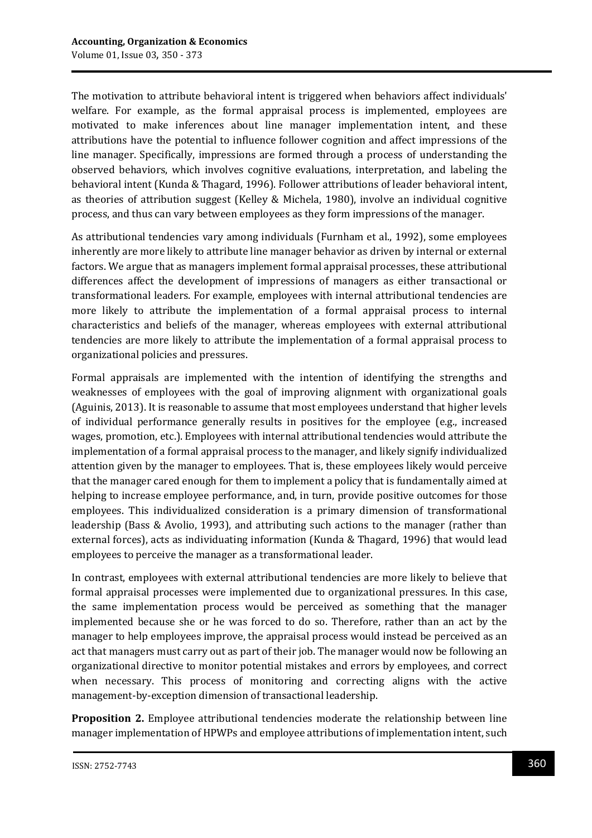The motivation to attribute behavioral intent is triggered when behaviors affect individuals' welfare. For example, as the formal appraisal process is implemented, employees are motivated to make inferences about line manager implementation intent, and these attributions have the potential to influence follower cognition and affect impressions of the line manager. Specifically, impressions are formed through a process of understanding the observed behaviors, which involves cognitive evaluations, interpretation, and labeling the behavioral intent (Kunda & Thagard, 1996). Follower attributions of leader behavioral intent, as theories of attribution suggest (Kelley & Michela, 1980), involve an individual cognitive process, and thus can vary between employees as they form impressions of the manager.

As attributional tendencies vary among individuals (Furnham et al., 1992), some employees inherently are more likely to attribute line manager behavior as driven by internal or external factors. We argue that as managers implement formal appraisal processes, these attributional differences affect the development of impressions of managers as either transactional or transformational leaders. For example, employees with internal attributional tendencies are more likely to attribute the implementation of a formal appraisal process to internal characteristics and beliefs of the manager, whereas employees with external attributional tendencies are more likely to attribute the implementation of a formal appraisal process to organizational policies and pressures.

Formal appraisals are implemented with the intention of identifying the strengths and weaknesses of employees with the goal of improving alignment with organizational goals (Aguinis, 2013). It is reasonable to assume that most employees understand that higher levels of individual performance generally results in positives for the employee (e.g., increased wages, promotion, etc.). Employees with internal attributional tendencies would attribute the implementation of a formal appraisal process to the manager, and likely signify individualized attention given by the manager to employees. That is, these employees likely would perceive that the manager cared enough for them to implement a policy that is fundamentally aimed at helping to increase employee performance, and, in turn, provide positive outcomes for those employees. This individualized consideration is a primary dimension of transformational leadership (Bass & Avolio, 1993), and attributing such actions to the manager (rather than external forces), acts as individuating information (Kunda & Thagard, 1996) that would lead employees to perceive the manager as a transformational leader.

In contrast, employees with external attributional tendencies are more likely to believe that formal appraisal processes were implemented due to organizational pressures. In this case, the same implementation process would be perceived as something that the manager implemented because she or he was forced to do so. Therefore, rather than an act by the manager to help employees improve, the appraisal process would instead be perceived as an act that managers must carry out as part of their job. The manager would now be following an organizational directive to monitor potential mistakes and errors by employees, and correct when necessary. This process of monitoring and correcting aligns with the active management-by-exception dimension of transactional leadership.

**Proposition 2.** Employee attributional tendencies moderate the relationship between line manager implementation of HPWPs and employee attributions of implementation intent, such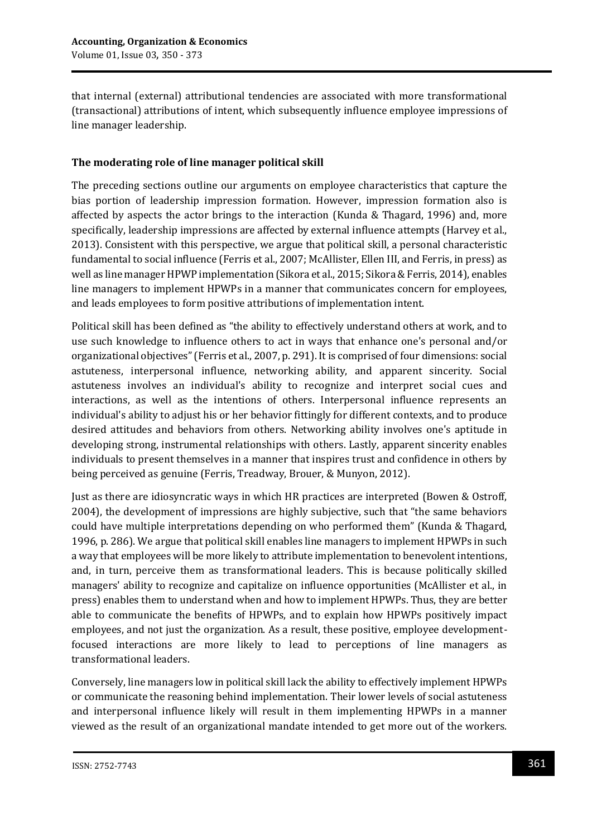that internal (external) attributional tendencies are associated with more transformational (transactional) attributions of intent, which subsequently influence employee impressions of line manager leadership.

### **The moderating role of line manager political skill**

The preceding sections outline our arguments on employee characteristics that capture the bias portion of leadership impression formation. However, impression formation also is affected by aspects the actor brings to the interaction (Kunda & Thagard, 1996) and, more specifically, leadership impressions are affected by external influence attempts (Harvey et al., 2013). Consistent with this perspective, we argue that political skill, a personal characteristic fundamental to social influence (Ferris et al., 2007; McAllister, Ellen III, and Ferris, in press) as well as line manager HPWP implementation (Sikora et al., 2015; Sikora & Ferris, 2014), enables line managers to implement HPWPs in a manner that communicates concern for employees, and leads employees to form positive attributions of implementation intent.

Political skill has been defined as "the ability to effectively understand others at work, and to use such knowledge to influence others to act in ways that enhance one's personal and/or organizational objectives" (Ferris et al., 2007, p. 291). It is comprised of four dimensions: social astuteness, interpersonal influence, networking ability, and apparent sincerity. Social astuteness involves an individual's ability to recognize and interpret social cues and interactions, as well as the intentions of others. Interpersonal influence represents an individual's ability to adjust his or her behavior fittingly for different contexts, and to produce desired attitudes and behaviors from others. Networking ability involves one's aptitude in developing strong, instrumental relationships with others. Lastly, apparent sincerity enables individuals to present themselves in a manner that inspires trust and confidence in others by being perceived as genuine (Ferris, Treadway, Brouer, & Munyon, 2012).

Just as there are idiosyncratic ways in which HR practices are interpreted (Bowen & Ostroff, 2004), the development of impressions are highly subjective, such that "the same behaviors could have multiple interpretations depending on who performed them" (Kunda & Thagard, 1996, p. 286). We argue that political skill enables line managers to implement HPWPs in such a way that employees will be more likely to attribute implementation to benevolent intentions, and, in turn, perceive them as transformational leaders. This is because politically skilled managers' ability to recognize and capitalize on influence opportunities (McAllister et al., in press) enables them to understand when and how to implement HPWPs. Thus, they are better able to communicate the benefits of HPWPs, and to explain how HPWPs positively impact employees, and not just the organization. As a result, these positive, employee developmentfocused interactions are more likely to lead to perceptions of line managers as transformational leaders.

Conversely, line managers low in political skill lack the ability to effectively implement HPWPs or communicate the reasoning behind implementation. Their lower levels of social astuteness and interpersonal influence likely will result in them implementing HPWPs in a manner viewed as the result of an organizational mandate intended to get more out of the workers.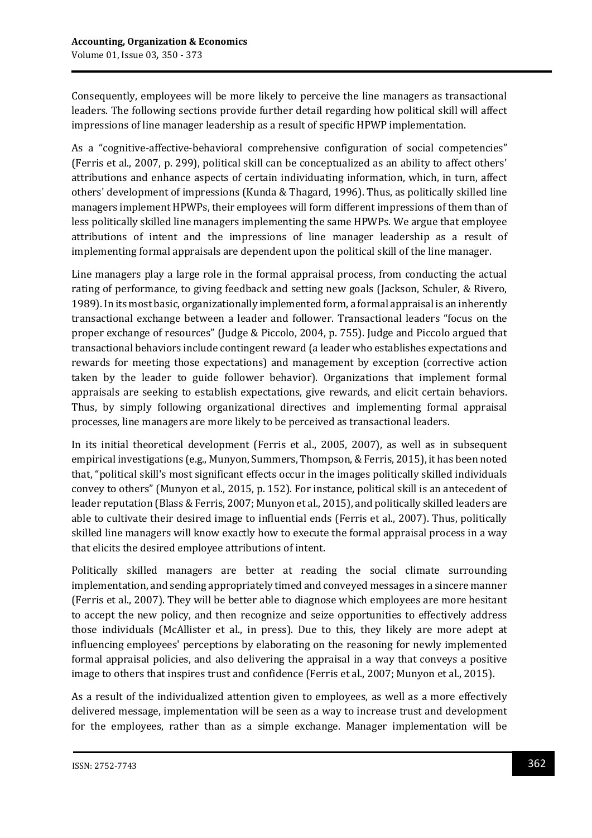Consequently, employees will be more likely to perceive the line managers as transactional leaders. The following sections provide further detail regarding how political skill will affect impressions of line manager leadership as a result of specific HPWP implementation.

As a "cognitive-affective-behavioral comprehensive configuration of social competencies" (Ferris et al., 2007, p. 299), political skill can be conceptualized as an ability to affect others' attributions and enhance aspects of certain individuating information, which, in turn, affect others' development of impressions (Kunda & Thagard, 1996). Thus, as politically skilled line managers implement HPWPs, their employees will form different impressions of them than of less politically skilled line managers implementing the same HPWPs. We argue that employee attributions of intent and the impressions of line manager leadership as a result of implementing formal appraisals are dependent upon the political skill of the line manager.

Line managers play a large role in the formal appraisal process, from conducting the actual rating of performance, to giving feedback and setting new goals (Jackson, Schuler, & Rivero, 1989). In its most basic, organizationally implemented form, a formal appraisal is an inherently transactional exchange between a leader and follower. Transactional leaders "focus on the proper exchange of resources" (Judge & Piccolo, 2004, p. 755). Judge and Piccolo argued that transactional behaviors include contingent reward (a leader who establishes expectations and rewards for meeting those expectations) and management by exception (corrective action taken by the leader to guide follower behavior). Organizations that implement formal appraisals are seeking to establish expectations, give rewards, and elicit certain behaviors. Thus, by simply following organizational directives and implementing formal appraisal processes, line managers are more likely to be perceived as transactional leaders.

In its initial theoretical development (Ferris et al., 2005, 2007), as well as in subsequent empirical investigations (e.g., Munyon, Summers, Thompson, & Ferris, 2015), it has been noted that, "political skill's most significant effects occur in the images politically skilled individuals convey to others" (Munyon et al., 2015, p. 152). For instance, political skill is an antecedent of leader reputation (Blass & Ferris, 2007; Munyon et al., 2015), and politically skilled leaders are able to cultivate their desired image to influential ends (Ferris et al., 2007). Thus, politically skilled line managers will know exactly how to execute the formal appraisal process in a way that elicits the desired employee attributions of intent.

Politically skilled managers are better at reading the social climate surrounding implementation, and sending appropriately timed and conveyed messages in a sincere manner (Ferris et al., 2007). They will be better able to diagnose which employees are more hesitant to accept the new policy, and then recognize and seize opportunities to effectively address those individuals (McAllister et al., in press). Due to this, they likely are more adept at influencing employees' perceptions by elaborating on the reasoning for newly implemented formal appraisal policies, and also delivering the appraisal in a way that conveys a positive image to others that inspires trust and confidence (Ferris et al., 2007; Munyon et al., 2015).

As a result of the individualized attention given to employees, as well as a more effectively delivered message, implementation will be seen as a way to increase trust and development for the employees, rather than as a simple exchange. Manager implementation will be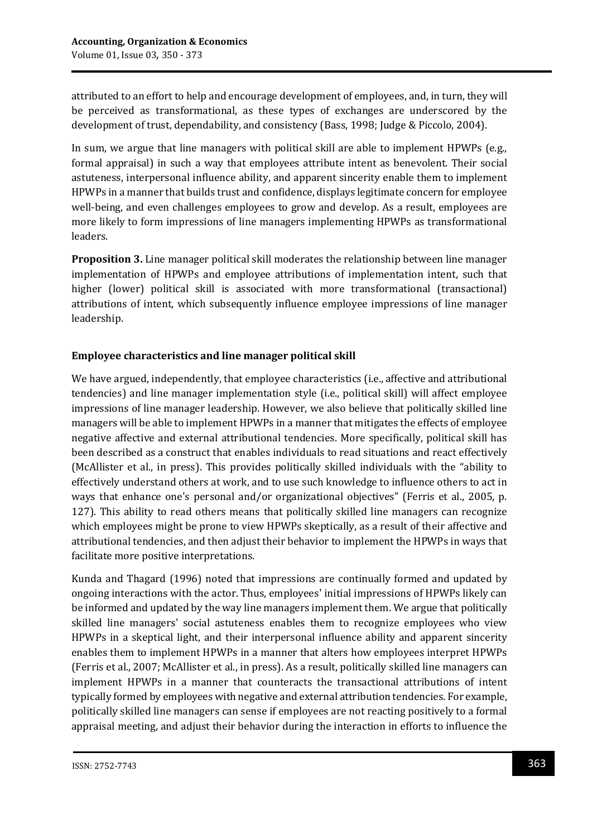attributed to an effort to help and encourage development of employees, and, in turn, they will be perceived as transformational, as these types of exchanges are underscored by the development of trust, dependability, and consistency (Bass, 1998; Judge & Piccolo, 2004).

In sum, we argue that line managers with political skill are able to implement HPWPs (e.g., formal appraisal) in such a way that employees attribute intent as benevolent. Their social astuteness, interpersonal influence ability, and apparent sincerity enable them to implement HPWPs in a manner that builds trust and confidence, displays legitimate concern for employee well-being, and even challenges employees to grow and develop. As a result, employees are more likely to form impressions of line managers implementing HPWPs as transformational leaders.

**Proposition 3.** Line manager political skill moderates the relationship between line manager implementation of HPWPs and employee attributions of implementation intent, such that higher (lower) political skill is associated with more transformational (transactional) attributions of intent, which subsequently influence employee impressions of line manager leadership.

### **Employee characteristics and line manager political skill**

We have argued, independently, that employee characteristics (i.e., affective and attributional tendencies) and line manager implementation style (i.e., political skill) will affect employee impressions of line manager leadership. However, we also believe that politically skilled line managers will be able to implement HPWPs in a manner that mitigates the effects of employee negative affective and external attributional tendencies. More specifically, political skill has been described as a construct that enables individuals to read situations and react effectively (McAllister et al., in press). This provides politically skilled individuals with the "ability to effectively understand others at work, and to use such knowledge to influence others to act in ways that enhance one's personal and/or organizational objectives" (Ferris et al., 2005, p. 127). This ability to read others means that politically skilled line managers can recognize which employees might be prone to view HPWPs skeptically, as a result of their affective and attributional tendencies, and then adjust their behavior to implement the HPWPs in ways that facilitate more positive interpretations.

Kunda and Thagard (1996) noted that impressions are continually formed and updated by ongoing interactions with the actor. Thus, employees' initial impressions of HPWPs likely can be informed and updated by the way line managers implement them. We argue that politically skilled line managers' social astuteness enables them to recognize employees who view HPWPs in a skeptical light, and their interpersonal influence ability and apparent sincerity enables them to implement HPWPs in a manner that alters how employees interpret HPWPs (Ferris et al., 2007; McAllister et al., in press). As a result, politically skilled line managers can implement HPWPs in a manner that counteracts the transactional attributions of intent typically formed by employees with negative and external attribution tendencies. For example, politically skilled line managers can sense if employees are not reacting positively to a formal appraisal meeting, and adjust their behavior during the interaction in efforts to influence the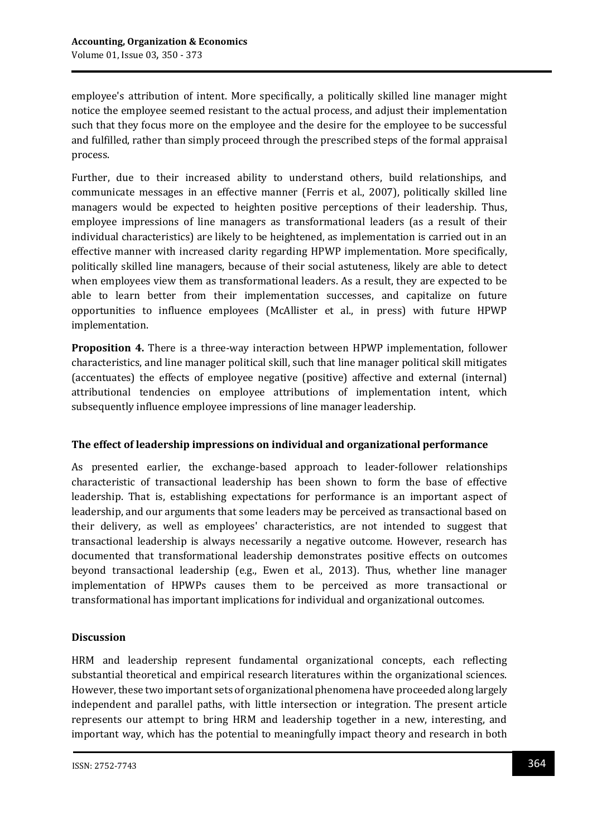employee's attribution of intent. More specifically, a politically skilled line manager might notice the employee seemed resistant to the actual process, and adjust their implementation such that they focus more on the employee and the desire for the employee to be successful and fulfilled, rather than simply proceed through the prescribed steps of the formal appraisal process.

Further, due to their increased ability to understand others, build relationships, and communicate messages in an effective manner (Ferris et al., 2007), politically skilled line managers would be expected to heighten positive perceptions of their leadership. Thus, employee impressions of line managers as transformational leaders (as a result of their individual characteristics) are likely to be heightened, as implementation is carried out in an effective manner with increased clarity regarding HPWP implementation. More specifically, politically skilled line managers, because of their social astuteness, likely are able to detect when employees view them as transformational leaders. As a result, they are expected to be able to learn better from their implementation successes, and capitalize on future opportunities to influence employees (McAllister et al., in press) with future HPWP implementation.

**Proposition 4.** There is a three-way interaction between HPWP implementation, follower characteristics, and line manager political skill, such that line manager political skill mitigates (accentuates) the effects of employee negative (positive) affective and external (internal) attributional tendencies on employee attributions of implementation intent, which subsequently influence employee impressions of line manager leadership.

# **The effect of leadership impressions on individual and organizational performance**

As presented earlier, the exchange-based approach to leader-follower relationships characteristic of transactional leadership has been shown to form the base of effective leadership. That is, establishing expectations for performance is an important aspect of leadership, and our arguments that some leaders may be perceived as transactional based on their delivery, as well as employees' characteristics, are not intended to suggest that transactional leadership is always necessarily a negative outcome. However, research has documented that transformational leadership demonstrates positive effects on outcomes beyond transactional leadership (e.g., Ewen et al., 2013). Thus, whether line manager implementation of HPWPs causes them to be perceived as more transactional or transformational has important implications for individual and organizational outcomes.

#### **Discussion**

HRM and leadership represent fundamental organizational concepts, each reflecting substantial theoretical and empirical research literatures within the organizational sciences. However, these two important sets of organizational phenomena have proceeded along largely independent and parallel paths, with little intersection or integration. The present article represents our attempt to bring HRM and leadership together in a new, interesting, and important way, which has the potential to meaningfully impact theory and research in both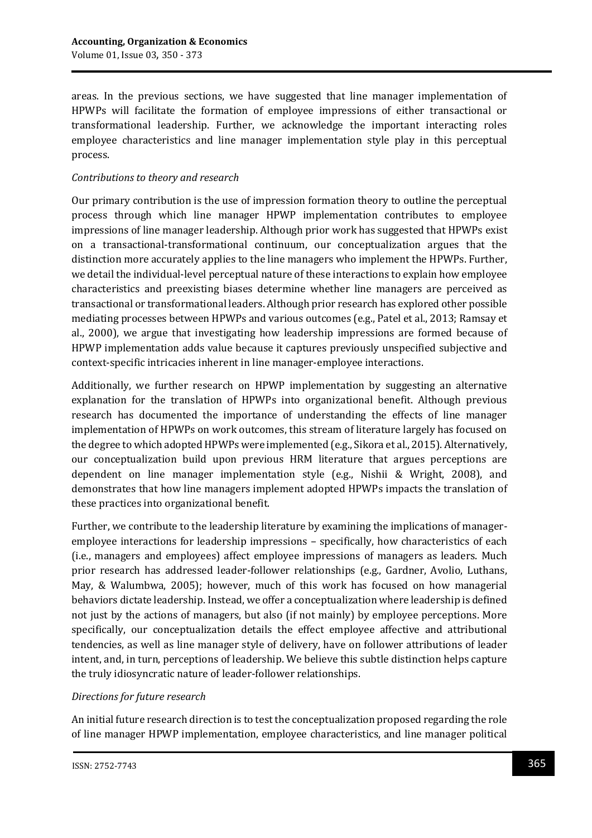areas. In the previous sections, we have suggested that line manager implementation of HPWPs will facilitate the formation of employee impressions of either transactional or transformational leadership. Further, we acknowledge the important interacting roles employee characteristics and line manager implementation style play in this perceptual process.

#### *Contributions to theory and research*

Our primary contribution is the use of impression formation theory to outline the perceptual process through which line manager HPWP implementation contributes to employee impressions of line manager leadership. Although prior work has suggested that HPWPs exist on a transactional-transformational continuum, our conceptualization argues that the distinction more accurately applies to the line managers who implement the HPWPs. Further, we detail the individual-level perceptual nature of these interactions to explain how employee characteristics and preexisting biases determine whether line managers are perceived as transactional or transformational leaders. Although prior research has explored other possible mediating processes between HPWPs and various outcomes (e.g., Patel et al., 2013; Ramsay et al., 2000), we argue that investigating how leadership impressions are formed because of HPWP implementation adds value because it captures previously unspecified subjective and context-specific intricacies inherent in line manager-employee interactions.

Additionally, we further research on HPWP implementation by suggesting an alternative explanation for the translation of HPWPs into organizational benefit. Although previous research has documented the importance of understanding the effects of line manager implementation of HPWPs on work outcomes, this stream of literature largely has focused on the degree to which adopted HPWPs were implemented (e.g., Sikora et al., 2015). Alternatively, our conceptualization build upon previous HRM literature that argues perceptions are dependent on line manager implementation style (e.g., Nishii & Wright, 2008), and demonstrates that how line managers implement adopted HPWPs impacts the translation of these practices into organizational benefit.

Further, we contribute to the leadership literature by examining the implications of manageremployee interactions for leadership impressions – specifically, how characteristics of each (i.e., managers and employees) affect employee impressions of managers as leaders. Much prior research has addressed leader-follower relationships (e.g., Gardner, Avolio, Luthans, May, & Walumbwa, 2005); however, much of this work has focused on how managerial behaviors dictate leadership. Instead, we offer a conceptualization where leadership is defined not just by the actions of managers, but also (if not mainly) by employee perceptions. More specifically, our conceptualization details the effect employee affective and attributional tendencies, as well as line manager style of delivery, have on follower attributions of leader intent, and, in turn, perceptions of leadership. We believe this subtle distinction helps capture the truly idiosyncratic nature of leader-follower relationships.

#### *Directions for future research*

An initial future research direction is to test the conceptualization proposed regarding the role of line manager HPWP implementation, employee characteristics, and line manager political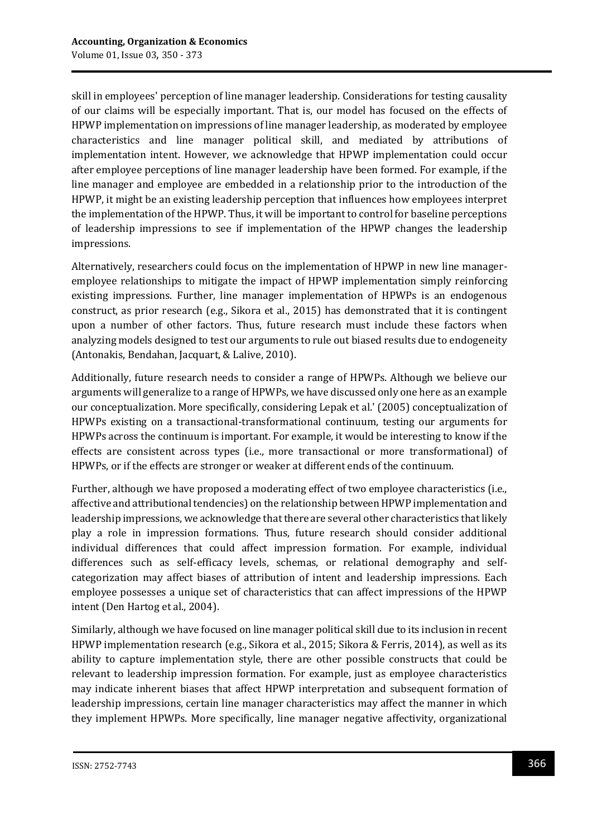skill in employees' perception of line manager leadership. Considerations for testing causality of our claims will be especially important. That is, our model has focused on the effects of HPWP implementation on impressions of line manager leadership, as moderated by employee characteristics and line manager political skill, and mediated by attributions of implementation intent. However, we acknowledge that HPWP implementation could occur after employee perceptions of line manager leadership have been formed. For example, if the line manager and employee are embedded in a relationship prior to the introduction of the HPWP, it might be an existing leadership perception that influences how employees interpret the implementation of the HPWP. Thus, it will be important to control for baseline perceptions of leadership impressions to see if implementation of the HPWP changes the leadership impressions.

Alternatively, researchers could focus on the implementation of HPWP in new line manageremployee relationships to mitigate the impact of HPWP implementation simply reinforcing existing impressions. Further, line manager implementation of HPWPs is an endogenous construct, as prior research (e.g., Sikora et al., 2015) has demonstrated that it is contingent upon a number of other factors. Thus, future research must include these factors when analyzing models designed to test our arguments to rule out biased results due to endogeneity (Antonakis, Bendahan, Jacquart, & Lalive, 2010).

Additionally, future research needs to consider a range of HPWPs. Although we believe our arguments will generalize to a range of HPWPs, we have discussed only one here as an example our conceptualization. More specifically, considering Lepak et al.' (2005) conceptualization of HPWPs existing on a transactional-transformational continuum, testing our arguments for HPWPs across the continuum is important. For example, it would be interesting to know if the effects are consistent across types (i.e., more transactional or more transformational) of HPWPs, or if the effects are stronger or weaker at different ends of the continuum.

Further, although we have proposed a moderating effect of two employee characteristics (i.e., affective and attributional tendencies) on the relationship between HPWP implementation and leadership impressions, we acknowledge that there are several other characteristics that likely play a role in impression formations. Thus, future research should consider additional individual differences that could affect impression formation. For example, individual differences such as self-efficacy levels, schemas, or relational demography and selfcategorization may affect biases of attribution of intent and leadership impressions. Each employee possesses a unique set of characteristics that can affect impressions of the HPWP intent (Den Hartog et al., 2004).

Similarly, although we have focused on line manager political skill due to its inclusion in recent HPWP implementation research (e.g., Sikora et al., 2015; Sikora & Ferris, 2014), as well as its ability to capture implementation style, there are other possible constructs that could be relevant to leadership impression formation. For example, just as employee characteristics may indicate inherent biases that affect HPWP interpretation and subsequent formation of leadership impressions, certain line manager characteristics may affect the manner in which they implement HPWPs. More specifically, line manager negative affectivity, organizational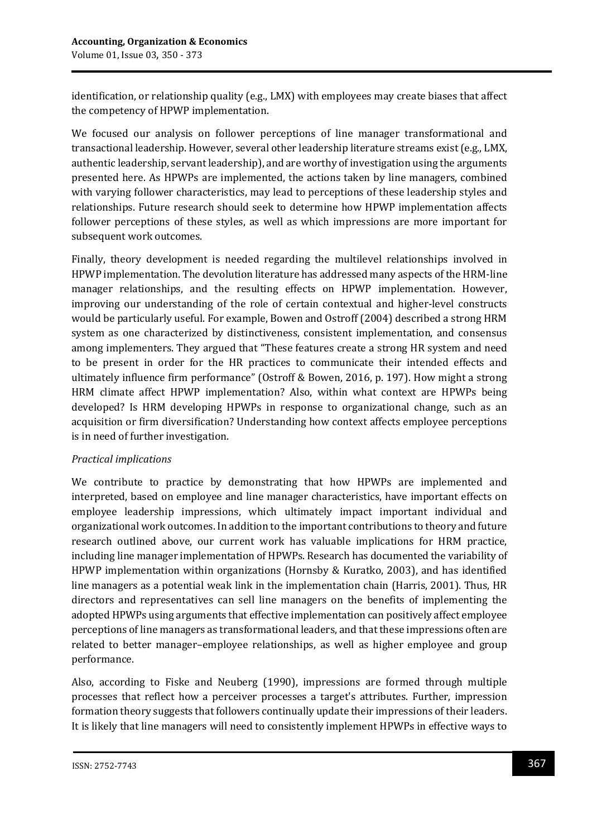identification, or relationship quality (e.g., LMX) with employees may create biases that affect the competency of HPWP implementation.

We focused our analysis on follower perceptions of line manager transformational and transactional leadership. However, several other leadership literature streams exist (e.g., LMX, authentic leadership, servant leadership), and are worthy of investigation using the arguments presented here. As HPWPs are implemented, the actions taken by line managers, combined with varying follower characteristics, may lead to perceptions of these leadership styles and relationships. Future research should seek to determine how HPWP implementation affects follower perceptions of these styles, as well as which impressions are more important for subsequent work outcomes.

Finally, theory development is needed regarding the multilevel relationships involved in HPWP implementation. The devolution literature has addressed many aspects of the HRM-line manager relationships, and the resulting effects on HPWP implementation. However, improving our understanding of the role of certain contextual and higher-level constructs would be particularly useful. For example, Bowen and Ostroff (2004) described a strong HRM system as one characterized by distinctiveness, consistent implementation, and consensus among implementers. They argued that "These features create a strong HR system and need to be present in order for the HR practices to communicate their intended effects and ultimately influence firm performance" (Ostroff & Bowen, 2016, p. 197). How might a strong HRM climate affect HPWP implementation? Also, within what context are HPWPs being developed? Is HRM developing HPWPs in response to organizational change, such as an acquisition or firm diversification? Understanding how context affects employee perceptions is in need of further investigation.

# *Practical implications*

We contribute to practice by demonstrating that how HPWPs are implemented and interpreted, based on employee and line manager characteristics, have important effects on employee leadership impressions, which ultimately impact important individual and organizational work outcomes. In addition to the important contributions to theory and future research outlined above, our current work has valuable implications for HRM practice, including line manager implementation of HPWPs. Research has documented the variability of HPWP implementation within organizations (Hornsby & Kuratko, 2003), and has identified line managers as a potential weak link in the implementation chain (Harris, 2001). Thus, HR directors and representatives can sell line managers on the benefits of implementing the adopted HPWPs using arguments that effective implementation can positively affect employee perceptions of line managers as transformational leaders, and that these impressions often are related to better manager–employee relationships, as well as higher employee and group performance.

Also, according to Fiske and Neuberg (1990), impressions are formed through multiple processes that reflect how a perceiver processes a target's attributes. Further, impression formation theory suggests that followers continually update their impressions of their leaders. It is likely that line managers will need to consistently implement HPWPs in effective ways to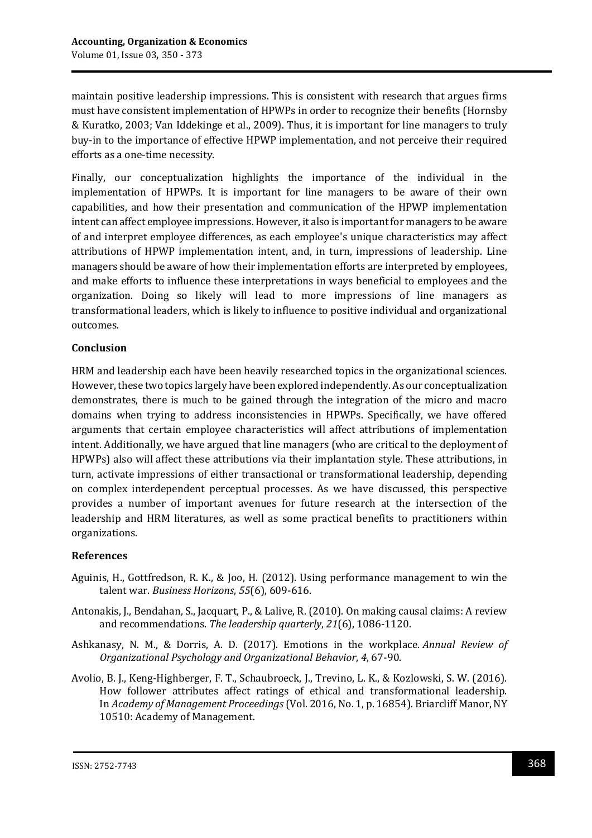maintain positive leadership impressions. This is consistent with research that argues firms must have consistent implementation of HPWPs in order to recognize their benefits (Hornsby & Kuratko, 2003; Van Iddekinge et al., 2009). Thus, it is important for line managers to truly buy-in to the importance of effective HPWP implementation, and not perceive their required efforts as a one-time necessity.

Finally, our conceptualization highlights the importance of the individual in the implementation of HPWPs. It is important for line managers to be aware of their own capabilities, and how their presentation and communication of the HPWP implementation intent can affect employee impressions. However, it also is important for managers to be aware of and interpret employee differences, as each employee's unique characteristics may affect attributions of HPWP implementation intent, and, in turn, impressions of leadership. Line managers should be aware of how their implementation efforts are interpreted by employees, and make efforts to influence these interpretations in ways beneficial to employees and the organization. Doing so likely will lead to more impressions of line managers as transformational leaders, which is likely to influence to positive individual and organizational outcomes.

### **Conclusion**

HRM and leadership each have been heavily researched topics in the organizational sciences. However, these two topics largely have been explored independently. As our conceptualization demonstrates, there is much to be gained through the integration of the micro and macro domains when trying to address inconsistencies in HPWPs. Specifically, we have offered arguments that certain employee characteristics will affect attributions of implementation intent. Additionally, we have argued that line managers (who are critical to the deployment of HPWPs) also will affect these attributions via their implantation style. These attributions, in turn, activate impressions of either transactional or transformational leadership, depending on complex interdependent perceptual processes. As we have discussed, this perspective provides a number of important avenues for future research at the intersection of the leadership and HRM literatures, as well as some practical benefits to practitioners within organizations.

#### **References**

- Aguinis, H., Gottfredson, R. K., & Joo, H. (2012). Using performance management to win the talent war. *Business Horizons*, *55*(6), 609-616.
- Antonakis, J., Bendahan, S., Jacquart, P., & Lalive, R. (2010). On making causal claims: A review and recommendations. *The leadership quarterly*, *21*(6), 1086-1120.
- Ashkanasy, N. M., & Dorris, A. D. (2017). Emotions in the workplace. *Annual Review of Organizational Psychology and Organizational Behavior*, *4*, 67-90.
- Avolio, B. J., Keng-Highberger, F. T., Schaubroeck, J., Trevino, L. K., & Kozlowski, S. W. (2016). How follower attributes affect ratings of ethical and transformational leadership. In *Academy of Management Proceedings* (Vol. 2016, No. 1, p. 16854). Briarcliff Manor, NY 10510: Academy of Management.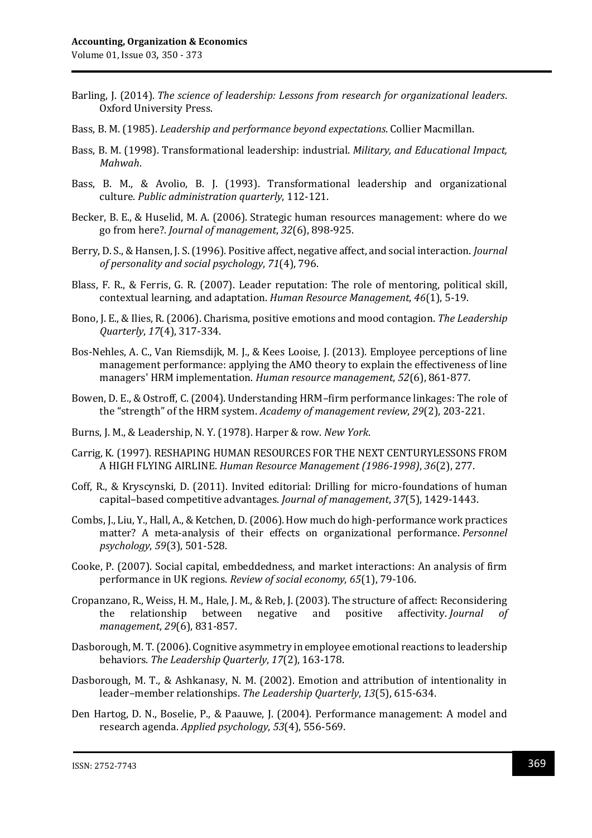- Barling, J. (2014). *The science of leadership: Lessons from research for organizational leaders*. Oxford University Press.
- Bass, B. M. (1985). *Leadership and performance beyond expectations*. Collier Macmillan.
- Bass, B. M. (1998). Transformational leadership: industrial. *Military, and Educational Impact, Mahwah*.
- Bass, B. M., & Avolio, B. J. (1993). Transformational leadership and organizational culture. *Public administration quarterly*, 112-121.
- Becker, B. E., & Huselid, M. A. (2006). Strategic human resources management: where do we go from here?. *Journal of management*, *32*(6), 898-925.
- Berry, D. S., & Hansen, J. S. (1996). Positive affect, negative affect, and social interaction. *Journal of personality and social psychology*, *71*(4), 796.
- Blass, F. R., & Ferris, G. R. (2007). Leader reputation: The role of mentoring, political skill, contextual learning, and adaptation. *Human Resource Management*, *46*(1), 5-19.
- Bono, J. E., & Ilies, R. (2006). Charisma, positive emotions and mood contagion. *The Leadership Quarterly*, *17*(4), 317-334.
- Bos‐Nehles, A. C., Van Riemsdijk, M. J., & Kees Looise, J. (2013). Employee perceptions of line management performance: applying the AMO theory to explain the effectiveness of line managers' HRM implementation. *Human resource management*, *52*(6), 861-877.
- Bowen, D. E., & Ostroff, C. (2004). Understanding HRM–firm performance linkages: The role of the "strength" of the HRM system. *Academy of management review*, *29*(2), 203-221.
- Burns, J. M., & Leadership, N. Y. (1978). Harper & row. *New York*.
- Carrig, K. (1997). RESHAPING HUMAN RESOURCES FOR THE NEXT CENTURYLESSONS FROM A HIGH FLYING AIRLINE. *Human Resource Management (1986-1998)*, *36*(2), 277.
- Coff, R., & Kryscynski, D. (2011). Invited editorial: Drilling for micro-foundations of human capital–based competitive advantages. *Journal of management*, *37*(5), 1429-1443.
- Combs, J., Liu, Y., Hall, A., & Ketchen, D. (2006). How much do high‐performance work practices matter? A meta‐analysis of their effects on organizational performance. *Personnel psychology*, *59*(3), 501-528.
- Cooke, P. (2007). Social capital, embeddedness, and market interactions: An analysis of firm performance in UK regions. *Review of social economy*, *65*(1), 79-106.
- Cropanzano, R., Weiss, H. M., Hale, J. M., & Reb, J. (2003). The structure of affect: Reconsidering the relationship between negative and positive affectivity. *Journal of management*, *29*(6), 831-857.
- Dasborough, M. T. (2006). Cognitive asymmetry in employee emotional reactions to leadership behaviors. *The Leadership Quarterly*, *17*(2), 163-178.
- Dasborough, M. T., & Ashkanasy, N. M. (2002). Emotion and attribution of intentionality in leader–member relationships. *The Leadership Quarterly*, *13*(5), 615-634.
- Den Hartog, D. N., Boselie, P., & Paauwe, J. (2004). Performance management: A model and research agenda. *Applied psychology*, *53*(4), 556-569.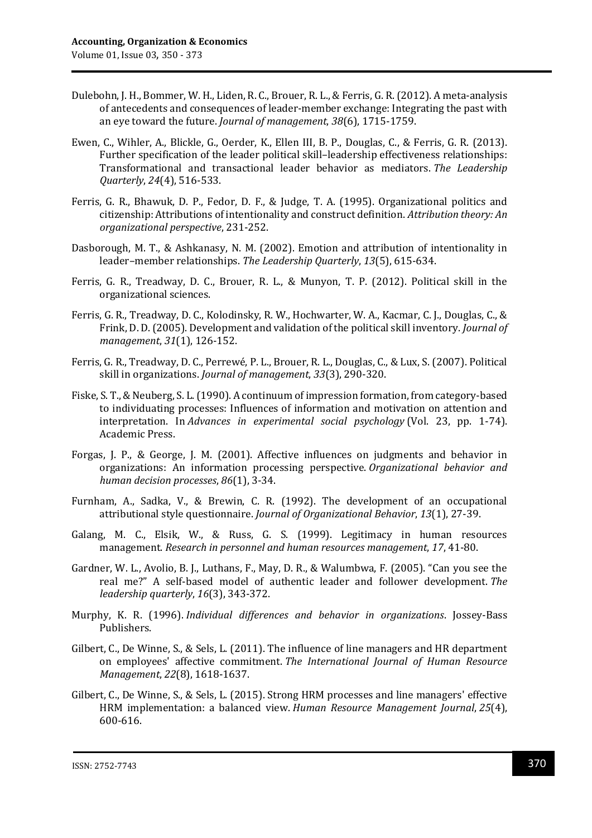- Dulebohn, J. H., Bommer, W. H., Liden, R. C., Brouer, R. L., & Ferris, G. R. (2012). A meta-analysis of antecedents and consequences of leader-member exchange: Integrating the past with an eye toward the future. *Journal of management*, *38*(6), 1715-1759.
- Ewen, C., Wihler, A., Blickle, G., Oerder, K., Ellen III, B. P., Douglas, C., & Ferris, G. R. (2013). Further specification of the leader political skill–leadership effectiveness relationships: Transformational and transactional leader behavior as mediators. *The Leadership Quarterly*, *24*(4), 516-533.
- Ferris, G. R., Bhawuk, D. P., Fedor, D. F., & Judge, T. A. (1995). Organizational politics and citizenship: Attributions of intentionality and construct definition. *Attribution theory: An organizational perspective*, 231-252.
- Dasborough, M. T., & Ashkanasy, N. M. (2002). Emotion and attribution of intentionality in leader–member relationships. *The Leadership Quarterly*, *13*(5), 615-634.
- Ferris, G. R., Treadway, D. C., Brouer, R. L., & Munyon, T. P. (2012). Political skill in the organizational sciences.
- Ferris, G. R., Treadway, D. C., Kolodinsky, R. W., Hochwarter, W. A., Kacmar, C. J., Douglas, C., & Frink, D. D. (2005). Development and validation of the political skill inventory. *Journal of management*, *31*(1), 126-152.
- Ferris, G. R., Treadway, D. C., Perrewé, P. L., Brouer, R. L., Douglas, C., & Lux, S. (2007). Political skill in organizations. *Journal of management*, *33*(3), 290-320.
- Fiske, S. T., & Neuberg, S. L. (1990). A continuum of impression formation, from category-based to individuating processes: Influences of information and motivation on attention and interpretation. In *Advances in experimental social psychology* (Vol. 23, pp. 1-74). Academic Press.
- Forgas, J. P., & George, J. M. (2001). Affective influences on judgments and behavior in organizations: An information processing perspective. *Organizational behavior and human decision processes*, *86*(1), 3-34.
- Furnham, A., Sadka, V., & Brewin, C. R. (1992). The development of an occupational attributional style questionnaire. *Journal of Organizational Behavior*, *13*(1), 27-39.
- Galang, M. C., Elsik, W., & Russ, G. S. (1999). Legitimacy in human resources management. *Research in personnel and human resources management*, *17*, 41-80.
- Gardner, W. L., Avolio, B. J., Luthans, F., May, D. R., & Walumbwa, F. (2005). "Can you see the real me?" A self-based model of authentic leader and follower development. *The leadership quarterly*, *16*(3), 343-372.
- Murphy, K. R. (1996). *Individual differences and behavior in organizations*. Jossey-Bass Publishers.
- Gilbert, C., De Winne, S., & Sels, L. (2011). The influence of line managers and HR department on employees' affective commitment. *The International Journal of Human Resource Management*, *22*(8), 1618-1637.
- Gilbert, C., De Winne, S., & Sels, L. (2015). Strong HRM processes and line managers' effective HRM implementation: a balanced view. *Human Resource Management Journal*, *25*(4), 600-616.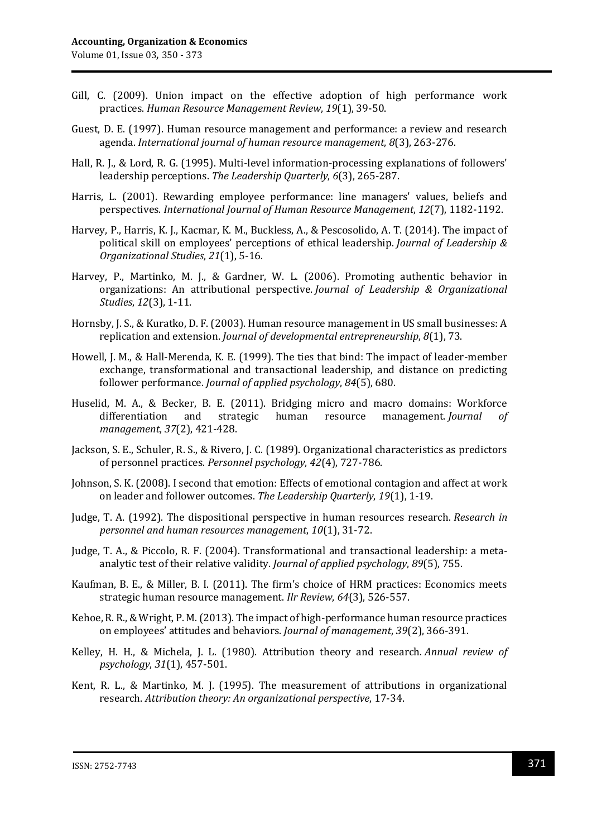- Gill, C. (2009). Union impact on the effective adoption of high performance work practices. *Human Resource Management Review*, *19*(1), 39-50.
- Guest, D. E. (1997). Human resource management and performance: a review and research agenda. *International journal of human resource management*, *8*(3), 263-276.
- Hall, R. J., & Lord, R. G. (1995). Multi-level information-processing explanations of followers' leadership perceptions. *The Leadership Quarterly*, *6*(3), 265-287.
- Harris, L. (2001). Rewarding employee performance: line managers' values, beliefs and perspectives. *International Journal of Human Resource Management*, *12*(7), 1182-1192.
- Harvey, P., Harris, K. J., Kacmar, K. M., Buckless, A., & Pescosolido, A. T. (2014). The impact of political skill on employees' perceptions of ethical leadership. *Journal of Leadership & Organizational Studies*, *21*(1), 5-16.
- Harvey, P., Martinko, M. J., & Gardner, W. L. (2006). Promoting authentic behavior in organizations: An attributional perspective. *Journal of Leadership & Organizational Studies*, *12*(3), 1-11.
- Hornsby, J. S., & Kuratko, D. F. (2003). Human resource management in US small businesses: A replication and extension. *Journal of developmental entrepreneurship*, *8*(1), 73.
- Howell, J. M., & Hall-Merenda, K. E. (1999). The ties that bind: The impact of leader-member exchange, transformational and transactional leadership, and distance on predicting follower performance. *Journal of applied psychology*, *84*(5), 680.
- Huselid, M. A., & Becker, B. E. (2011). Bridging micro and macro domains: Workforce differentiation and strategic human resource management. *Journal of management*, *37*(2), 421-428.
- Jackson, S. E., Schuler, R. S., & Rivero, J. C. (1989). Organizational characteristics as predictors of personnel practices. *Personnel psychology*, *42*(4), 727-786.
- Johnson, S. K. (2008). I second that emotion: Effects of emotional contagion and affect at work on leader and follower outcomes. *The Leadership Quarterly*, *19*(1), 1-19.
- Judge, T. A. (1992). The dispositional perspective in human resources research. *Research in personnel and human resources management*, *10*(1), 31-72.
- Judge, T. A., & Piccolo, R. F. (2004). Transformational and transactional leadership: a metaanalytic test of their relative validity. *Journal of applied psychology*, *89*(5), 755.
- Kaufman, B. E., & Miller, B. I. (2011). The firm's choice of HRM practices: Economics meets strategic human resource management. *Ilr Review*, *64*(3), 526-557.
- Kehoe, R. R., & Wright, P. M. (2013). The impact of high-performance human resource practices on employees' attitudes and behaviors. *Journal of management*, *39*(2), 366-391.
- Kelley, H. H., & Michela, J. L. (1980). Attribution theory and research. *Annual review of psychology*, *31*(1), 457-501.
- Kent, R. L., & Martinko, M. J. (1995). The measurement of attributions in organizational research. *Attribution theory: An organizational perspective*, 17-34.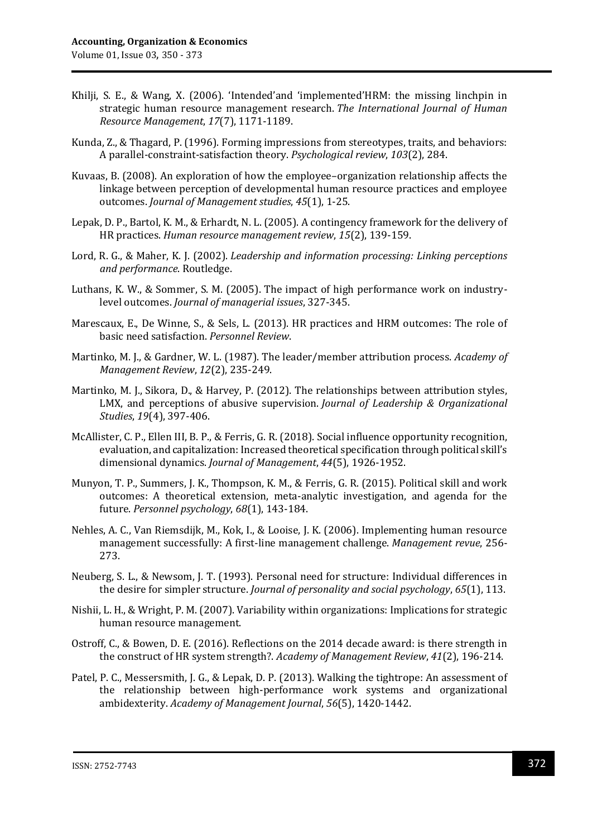- Khilji, S. E., & Wang, X. (2006). 'Intended'and 'implemented'HRM: the missing linchpin in strategic human resource management research. *The International Journal of Human Resource Management*, *17*(7), 1171-1189.
- Kunda, Z., & Thagard, P. (1996). Forming impressions from stereotypes, traits, and behaviors: A parallel-constraint-satisfaction theory. *Psychological review*, *103*(2), 284.
- Kuvaas, B. (2008). An exploration of how the employee–organization relationship affects the linkage between perception of developmental human resource practices and employee outcomes. *Journal of Management studies*, *45*(1), 1-25.
- Lepak, D. P., Bartol, K. M., & Erhardt, N. L. (2005). A contingency framework for the delivery of HR practices. *Human resource management review*, *15*(2), 139-159.
- Lord, R. G., & Maher, K. J. (2002). *Leadership and information processing: Linking perceptions and performance*. Routledge.
- Luthans, K. W., & Sommer, S. M. (2005). The impact of high performance work on industrylevel outcomes. *Journal of managerial issues*, 327-345.
- Marescaux, E., De Winne, S., & Sels, L. (2013). HR practices and HRM outcomes: The role of basic need satisfaction. *Personnel Review*.
- Martinko, M. J., & Gardner, W. L. (1987). The leader/member attribution process. *Academy of Management Review*, *12*(2), 235-249.
- Martinko, M. J., Sikora, D., & Harvey, P. (2012). The relationships between attribution styles, LMX, and perceptions of abusive supervision. *Journal of Leadership & Organizational Studies*, *19*(4), 397-406.
- McAllister, C. P., Ellen III, B. P., & Ferris, G. R. (2018). Social influence opportunity recognition, evaluation, and capitalization: Increased theoretical specification through political skill's dimensional dynamics. *Journal of Management*, *44*(5), 1926-1952.
- Munyon, T. P., Summers, J. K., Thompson, K. M., & Ferris, G. R. (2015). Political skill and work outcomes: A theoretical extension, meta‐analytic investigation, and agenda for the future. *Personnel psychology*, *68*(1), 143-184.
- Nehles, A. C., Van Riemsdijk, M., Kok, I., & Looise, J. K. (2006). Implementing human resource management successfully: A first-line management challenge. *Management revue*, 256- 273.
- Neuberg, S. L., & Newsom, J. T. (1993). Personal need for structure: Individual differences in the desire for simpler structure. *Journal of personality and social psychology*, *65*(1), 113.
- Nishii, L. H., & Wright, P. M. (2007). Variability within organizations: Implications for strategic human resource management.
- Ostroff, C., & Bowen, D. E. (2016). Reflections on the 2014 decade award: is there strength in the construct of HR system strength?. *Academy of Management Review*, *41*(2), 196-214.
- Patel, P. C., Messersmith, J. G., & Lepak, D. P. (2013). Walking the tightrope: An assessment of the relationship between high-performance work systems and organizational ambidexterity. *Academy of Management Journal*, *56*(5), 1420-1442.